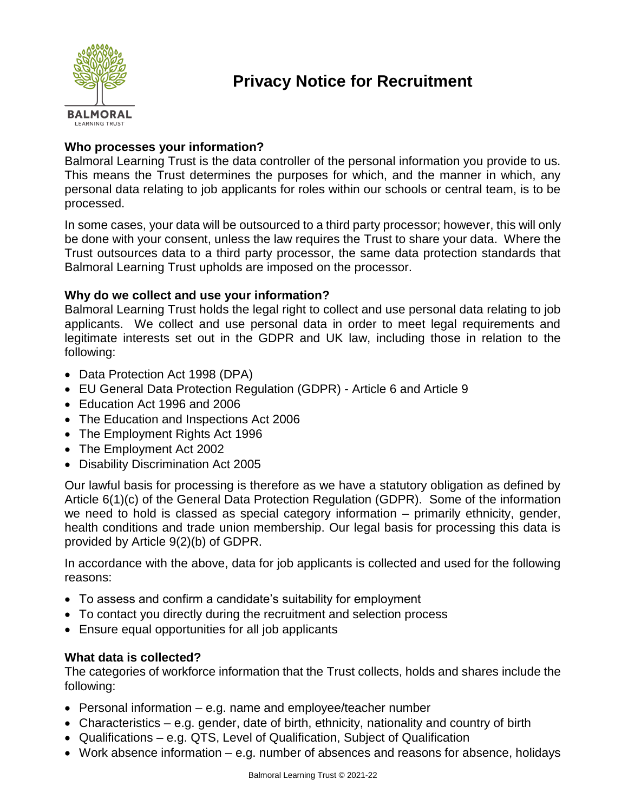

# **Privacy Notice for Recruitment**

# **Who processes your information?**

Balmoral Learning Trust is the data controller of the personal information you provide to us. This means the Trust determines the purposes for which, and the manner in which, any personal data relating to job applicants for roles within our schools or central team, is to be processed.

In some cases, your data will be outsourced to a third party processor; however, this will only be done with your consent, unless the law requires the Trust to share your data. Where the Trust outsources data to a third party processor, the same data protection standards that Balmoral Learning Trust upholds are imposed on the processor.

# **Why do we collect and use your information?**

Balmoral Learning Trust holds the legal right to collect and use personal data relating to job applicants. We collect and use personal data in order to meet legal requirements and legitimate interests set out in the GDPR and UK law, including those in relation to the following:

- Data Protection Act 1998 (DPA)
- EU General Data Protection Regulation (GDPR) Article 6 and Article 9
- Education Act 1996 and 2006
- The Education and Inspections Act 2006
- The Employment Rights Act 1996
- The Employment Act 2002
- Disability Discrimination Act 2005

Our lawful basis for processing is therefore as we have a statutory obligation as defined by Article 6(1)(c) of the General Data Protection Regulation (GDPR). Some of the information we need to hold is classed as special category information – primarily ethnicity, gender, health conditions and trade union membership. Our legal basis for processing this data is provided by Article 9(2)(b) of GDPR.

In accordance with the above, data for job applicants is collected and used for the following reasons:

- To assess and confirm a candidate's suitability for employment
- To contact you directly during the recruitment and selection process
- Ensure equal opportunities for all job applicants

#### **What data is collected?**

The categories of workforce information that the Trust collects, holds and shares include the following:

- $\bullet$  Personal information e.g. name and employee/teacher number
- Characteristics e.g. gender, date of birth, ethnicity, nationality and country of birth
- Qualifications e.g. QTS, Level of Qualification, Subject of Qualification
- Work absence information e.g. number of absences and reasons for absence, holidays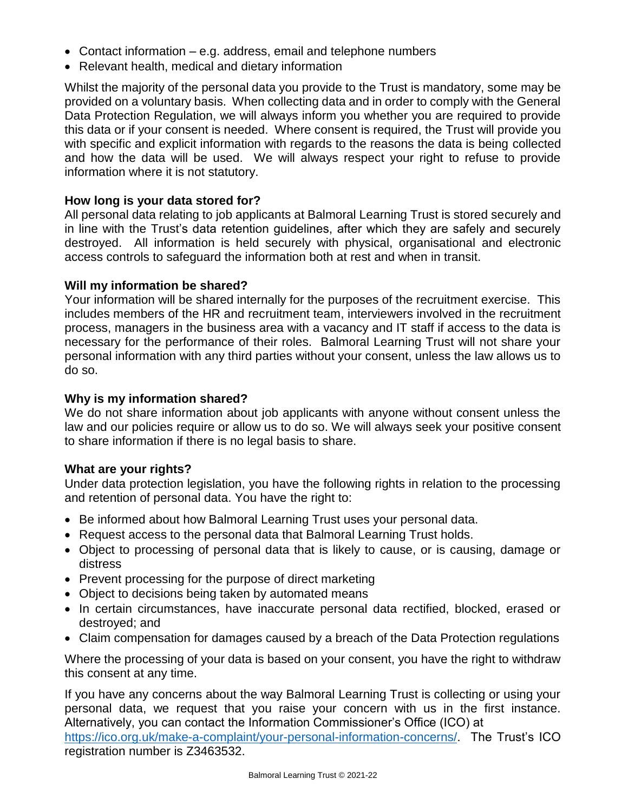- Contact information e.g. address, email and telephone numbers
- Relevant health, medical and dietary information

Whilst the majority of the personal data you provide to the Trust is mandatory, some may be provided on a voluntary basis. When collecting data and in order to comply with the General Data Protection Regulation, we will always inform you whether you are required to provide this data or if your consent is needed. Where consent is required, the Trust will provide you with specific and explicit information with regards to the reasons the data is being collected and how the data will be used. We will always respect your right to refuse to provide information where it is not statutory.

## **How long is your data stored for?**

All personal data relating to job applicants at Balmoral Learning Trust is stored securely and in line with the Trust's data retention guidelines, after which they are safely and securely destroyed. All information is held securely with physical, organisational and electronic access controls to safeguard the information both at rest and when in transit.

#### **Will my information be shared?**

Your information will be shared internally for the purposes of the recruitment exercise. This includes members of the HR and recruitment team, interviewers involved in the recruitment process, managers in the business area with a vacancy and IT staff if access to the data is necessary for the performance of their roles. Balmoral Learning Trust will not share your personal information with any third parties without your consent, unless the law allows us to do so.

#### **Why is my information shared?**

We do not share information about job applicants with anyone without consent unless the law and our policies require or allow us to do so. We will always seek your positive consent to share information if there is no legal basis to share.

## **What are your rights?**

Under data protection legislation, you have the following rights in relation to the processing and retention of personal data. You have the right to:

- Be informed about how Balmoral Learning Trust uses your personal data.
- Request access to the personal data that Balmoral Learning Trust holds.
- Object to processing of personal data that is likely to cause, or is causing, damage or distress
- Prevent processing for the purpose of direct marketing
- Object to decisions being taken by automated means
- In certain circumstances, have inaccurate personal data rectified, blocked, erased or destroyed; and
- Claim compensation for damages caused by a breach of the Data Protection regulations

Where the processing of your data is based on your consent, you have the right to withdraw this consent at any time.

If you have any concerns about the way Balmoral Learning Trust is collecting or using your personal data, we request that you raise your concern with us in the first instance. Alternatively, you can contact the Information Commissioner's Office (ICO) at [https://ico.org.uk/make-a-complaint/your-personal-information-concerns/.](https://ico.org.uk/make-a-complaint/your-personal-information-concerns/) The Trust's ICO registration number is Z3463532.